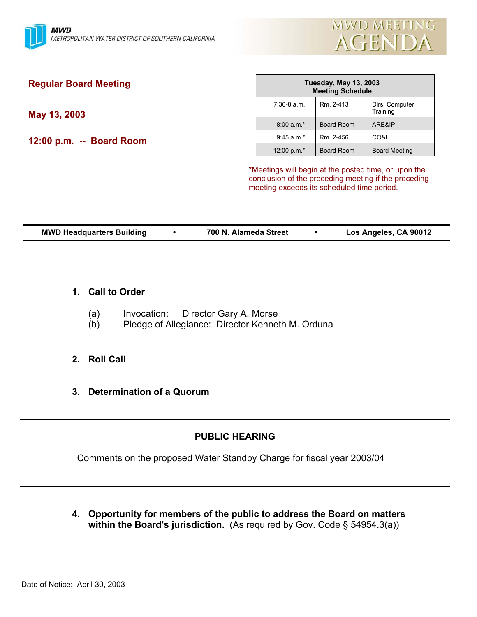

meeting exceeds its scheduled time period.

| <b>Regular Board Meeting</b> | <b>Tuesday, May 13, 2003</b><br><b>Meeting Schedule</b> |            |                                                      |
|------------------------------|---------------------------------------------------------|------------|------------------------------------------------------|
| May 13, 2003                 | $7:30-8$ a.m.                                           | Rm. 2-413  | Dirs. Computer<br>Training                           |
|                              | $8:00 a.m.*$                                            | Board Room | ARE&IP                                               |
| 12:00 p.m. -- Board Room     | $9:45$ a.m. $*$                                         | Rm. 2-456  | CO&L                                                 |
|                              | 12:00 p.m.*                                             | Board Room | <b>Board Meeting</b>                                 |
|                              | *Meetings will begin at the posted time, or upon the    |            | conclusion of the preceding meeting if the preceding |

**MWD Headquarters Building** y **700 N. Alameda Street** y **Los Angeles, CA 90012** 

# **1. Call to Order**

- (a) Invocation: Director Gary A. Morse
- (b) Pledge of Allegiance: Director Kenneth M. Orduna

# **2. Roll Call**

**3. Determination of a Quorum**

# **PUBLIC HEARING**

Comments on the proposed Water Standby Charge for fiscal year 2003/04

**4. Opportunity for members of the public to address the Board on matters within the Board's jurisdiction.** (As required by Gov. Code § 54954.3(a))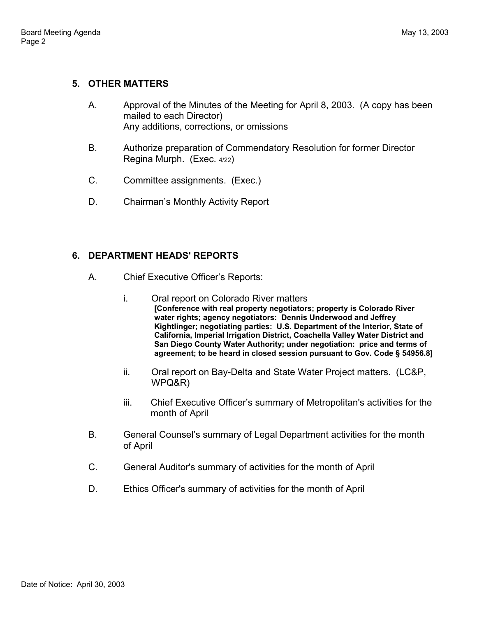# **5. OTHER MATTERS**

- A. Approval of the Minutes of the Meeting for April 8, 2003. (A copy has been mailed to each Director) Any additions, corrections, or omissions
- B. Authorize preparation of Commendatory Resolution for former Director Regina Murph. (Exec. 4/22)
- C. Committee assignments. (Exec.)
- D. Chairman's Monthly Activity Report

# **6. DEPARTMENT HEADS' REPORTS**

- A. Chief Executive Officer's Reports:
	- i. Oral report on Colorado River matters **[Conference with real property negotiators; property is Colorado River water rights; agency negotiators: Dennis Underwood and Jeffrey Kightlinger; negotiating parties: U.S. Department of the Interior, State of California, Imperial Irrigation District, Coachella Valley Water District and San Diego County Water Authority; under negotiation: price and terms of agreement; to be heard in closed session pursuant to Gov. Code § 54956.8]**
	- ii. Oral report on Bay-Delta and State Water Project matters. (LC&P, WPQ&R)
	- iii. Chief Executive Officer's summary of Metropolitan's activities for the month of April
- B. General Counsel's summary of Legal Department activities for the month of April
- C. General Auditor's summary of activities for the month of April
- D. Ethics Officer's summary of activities for the month of April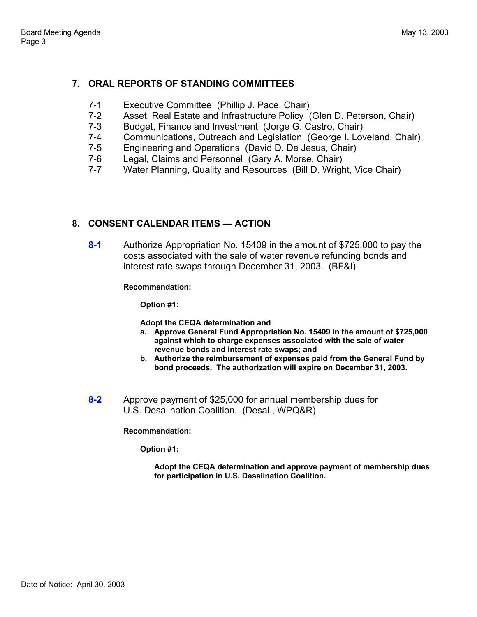# **7. ORAL REPORTS OF STANDING COMMITTEES**

- 7-1 Executive Committee (Phillip J. Pace, Chair)
- 7-2 Asset, Real Estate and Infrastructure Policy (Glen D. Peterson, Chair)
- 7-3 Budget, Finance and Investment (Jorge G. Castro, Chair)
- 7-4 Communications, Outreach and Legislation (George I. Loveland, Chair)
- 7-5 Engineering and Operations (David D. De Jesus, Chair)
- 7-6 Legal, Claims and Personnel (Gary A. Morse, Chair)
- 7-7 Water Planning, Quality and Resources (Bill D. Wright, Vice Chair)

# **8. CONSENT CALENDAR ITEMS — ACTION**

**8-1** Authorize Appropriation No. 15409 in the amount of \$725,000 to pay the costs associated with the sale of water revenue refunding bonds and interest rate swaps through December 31, 2003. (BF&I)

**Recommendation:** 

**Option #1:** 

**Adopt the CEQA determination and** 

- **a. Approve General Fund Appropriation No. 15409 in the amount of \$725,000 against which to charge expenses associated with the sale of water revenue bonds and interest rate swaps; and**
- **b. Authorize the reimbursement of expenses paid from the General Fund by bond proceeds. The authorization will expire on December 31, 2003.**
- **8-2** Approve payment of \$25,000 for annual membership dues for U.S. Desalination Coalition. (Desal., WPQ&R)

## **Recommendation:**

**Option #1:** 

**Adopt the CEQA determination and approve payment of membership dues for participation in U.S. Desalination Coalition.**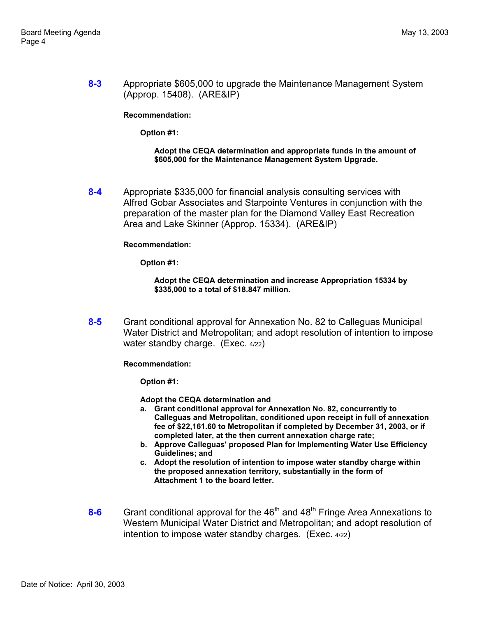**8-3** Appropriate \$605,000 to upgrade the Maintenance Management System (Approp. 15408). (ARE&IP)

**Recommendation:** 

**Option #1:** 

**Adopt the CEQA determination and appropriate funds in the amount of \$605,000 for the Maintenance Management System Upgrade.** 

**8-4** Appropriate \$335,000 for financial analysis consulting services with Alfred Gobar Associates and Starpointe Ventures in conjunction with the preparation of the master plan for the Diamond Valley East Recreation Area and Lake Skinner (Approp. 15334). (ARE&IP)

## **Recommendation:**

**Option #1:** 

### **Adopt the CEQA determination and increase Appropriation 15334 by \$335,000 to a total of \$18.847 million.**

**8-5** Grant conditional approval for Annexation No. 82 to Calleguas Municipal Water District and Metropolitan; and adopt resolution of intention to impose water standby charge. (Exec. 4/22)

**Recommendation:** 

**Option #1:** 

- **a. Grant conditional approval for Annexation No. 82, concurrently to Calleguas and Metropolitan, conditioned upon receipt in full of annexation fee of \$22,161.60 to Metropolitan if completed by December 31, 2003, or if completed later, at the then current annexation charge rate;**
- **b. Approve Calleguas' proposed Plan for Implementing Water Use Efficiency Guidelines; and**
- **c. Adopt the resolution of intention to impose water standby charge within the proposed annexation territory, substantially in the form of Attachment 1 to the board letter.**
- 8-6 Grant conditional approval for the 46<sup>th</sup> and 48<sup>th</sup> Fringe Area Annexations to Western Municipal Water District and Metropolitan; and adopt resolution of intention to impose water standby charges. (Exec. 4/22)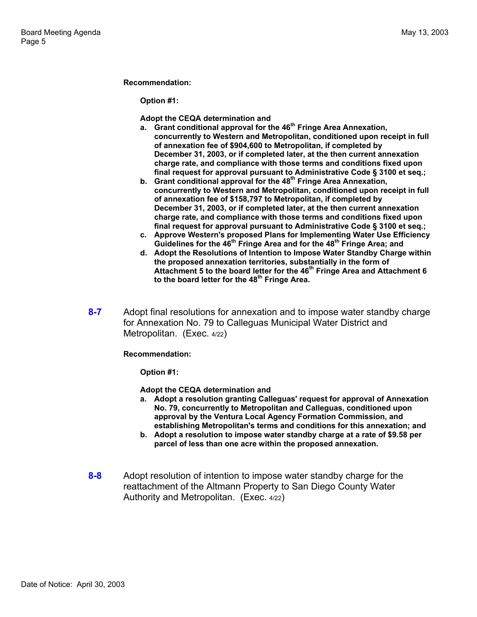### **Recommendation:**

**Option #1:** 

**Adopt the CEQA determination and** 

- **a. Grant conditional approval for the 46th Fringe Area Annexation, concurrently to Western and Metropolitan, conditioned upon receipt in full of annexation fee of \$904,600 to Metropolitan, if completed by December 31, 2003, or if completed later, at the then current annexation charge rate, and compliance with those terms and conditions fixed upon final request for approval pursuant to Administrative Code § 3100 et seq.;**
- **b.** Grant conditional approval for the 48<sup>th</sup> Fringe Area Annexation, **concurrently to Western and Metropolitan, conditioned upon receipt in full of annexation fee of \$158,797 to Metropolitan, if completed by December 31, 2003, or if completed later, at the then current annexation charge rate, and compliance with those terms and conditions fixed upon final request for approval pursuant to Administrative Code § 3100 et seq.;**
- **c. Approve Western's proposed Plans for Implementing Water Use Efficiency**  Guidelines for the 46<sup>th</sup> Fringe Area and for the 48<sup>th</sup> Fringe Area; and
- **d. Adopt the Resolutions of Intention to Impose Water Standby Charge within the proposed annexation territories, substantially in the form of Attachment 5 to the board letter for the 46th Fringe Area and Attachment 6 to the board letter for the 48th Fringe Area.**
- **8-7** Adopt final resolutions for annexation and to impose water standby charge for Annexation No. 79 to Calleguas Municipal Water District and Metropolitan. (Exec. 4/22)

**Recommendation:** 

**Option #1:** 

- **a. Adopt a resolution granting Calleguas' request for approval of Annexation No. 79, concurrently to Metropolitan and Calleguas, conditioned upon approval by the Ventura Local Agency Formation Commission, and establishing Metropolitan's terms and conditions for this annexation; and**
- **b. Adopt a resolution to impose water standby charge at a rate of \$9.58 per parcel of less than one acre within the proposed annexation.**
- **8-8** Adopt resolution of intention to impose water standby charge for the reattachment of the Altmann Property to San Diego County Water Authority and Metropolitan. (Exec. 4/22)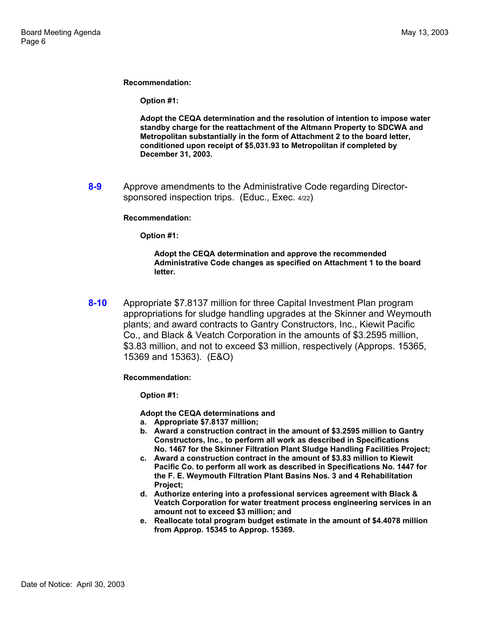**Recommendation:** 

**Option #1:** 

**Adopt the CEQA determination and the resolution of intention to impose water standby charge for the reattachment of the Altmann Property to SDCWA and Metropolitan substantially in the form of Attachment 2 to the board letter, conditioned upon receipt of \$5,031.93 to Metropolitan if completed by December 31, 2003.** 

**8-9** Approve amendments to the Administrative Code regarding Directorsponsored inspection trips. (Educ., Exec. 4/22)

#### **Recommendation:**

**Option #1:** 

**Adopt the CEQA determination and approve the recommended Administrative Code changes as specified on Attachment 1 to the board letter.**

**8-10** Appropriate \$7.8137 million for three Capital Investment Plan program appropriations for sludge handling upgrades at the Skinner and Weymouth plants; and award contracts to Gantry Constructors, Inc., Kiewit Pacific Co., and Black & Veatch Corporation in the amounts of \$3.2595 million, \$3.83 million, and not to exceed \$3 million, respectively (Approps. 15365, 15369 and 15363). (E&O)

**Recommendation:** 

**Option #1:** 

- **a. Appropriate \$7.8137 million;**
- **b. Award a construction contract in the amount of \$3.2595 million to Gantry Constructors, Inc., to perform all work as described in Specifications No. 1467 for the Skinner Filtration Plant Sludge Handling Facilities Project;**
- **c. Award a construction contract in the amount of \$3.83 million to Kiewit Pacific Co. to perform all work as described in Specifications No. 1447 for the F. E. Weymouth Filtration Plant Basins Nos. 3 and 4 Rehabilitation Project;**
- **d. Authorize entering into a professional services agreement with Black & Veatch Corporation for water treatment process engineering services in an amount not to exceed \$3 million; and**
- **e. Reallocate total program budget estimate in the amount of \$4.4078 million from Approp. 15345 to Approp. 15369.**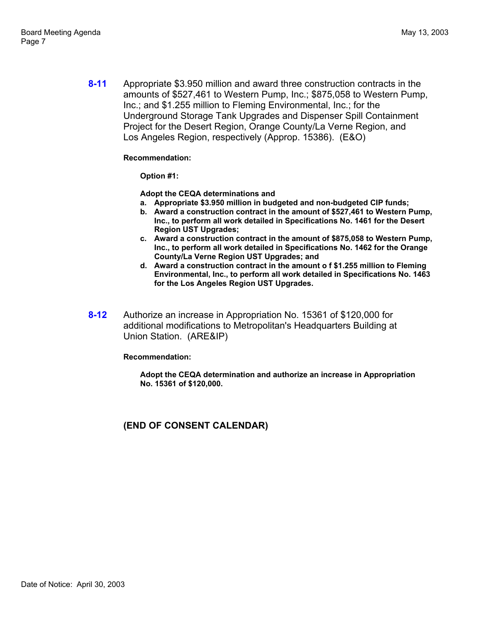**8-11** Appropriate \$3.950 million and award three construction contracts in the amounts of \$527,461 to Western Pump, Inc.; \$875,058 to Western Pump, Inc.; and \$1.255 million to Fleming Environmental, Inc.; for the Underground Storage Tank Upgrades and Dispenser Spill Containment Project for the Desert Region, Orange County/La Verne Region, and Los Angeles Region, respectively (Approp. 15386). (E&O)

## **Recommendation:**

**Option #1:** 

**Adopt the CEQA determinations and** 

- **a. Appropriate \$3.950 million in budgeted and non-budgeted CIP funds;**
- **b. Award a construction contract in the amount of \$527,461 to Western Pump, Inc., to perform all work detailed in Specifications No. 1461 for the Desert Region UST Upgrades;**
- **c. Award a construction contract in the amount of \$875,058 to Western Pump, Inc., to perform all work detailed in Specifications No. 1462 for the Orange County/La Verne Region UST Upgrades; and**
- **d. Award a construction contract in the amount o f \$1.255 million to Fleming Environmental, Inc., to perform all work detailed in Specifications No. 1463 for the Los Angeles Region UST Upgrades.**
- **8-12** Authorize an increase in Appropriation No. 15361 of \$120,000 for additional modifications to Metropolitan's Headquarters Building at Union Station. (ARE&IP)

**Recommendation:** 

**Adopt the CEQA determination and authorize an increase in Appropriation No. 15361 of \$120,000.** 

**(END OF CONSENT CALENDAR)**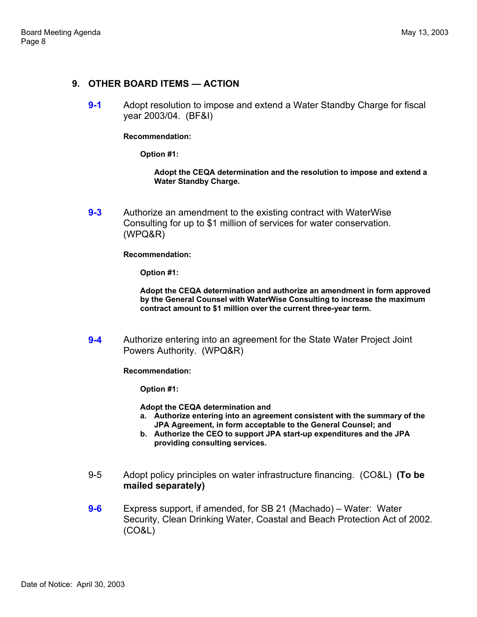# **9. OTHER BOARD ITEMS — ACTION**

**9-1** Adopt resolution to impose and extend a Water Standby Charge for fiscal year 2003/04. (BF&I)

**Recommendation:** 

**Option #1:** 

**Adopt the CEQA determination and the resolution to impose and extend a Water Standby Charge.** 

**9-3** Authorize an amendment to the existing contract with WaterWise Consulting for up to \$1 million of services for water conservation. (WPQ&R)

**Recommendation:** 

**Option #1:** 

**Adopt the CEQA determination and authorize an amendment in form approved by the General Counsel with WaterWise Consulting to increase the maximum contract amount to \$1 million over the current three-year term.** 

**9-4** Authorize entering into an agreement for the State Water Project Joint Powers Authority. (WPQ&R)

**Recommendation:** 

**Option #1:** 

- **a. Authorize entering into an agreement consistent with the summary of the JPA Agreement, in form acceptable to the General Counsel; and**
- **b. Authorize the CEO to support JPA start-up expenditures and the JPA providing consulting services.**
- 9-5 Adopt policy principles on water infrastructure financing. (CO&L) **(To be mailed separately)**
- **9-6** Express support, if amended, for SB 21 (Machado) Water: Water Security, Clean Drinking Water, Coastal and Beach Protection Act of 2002. (CO&L)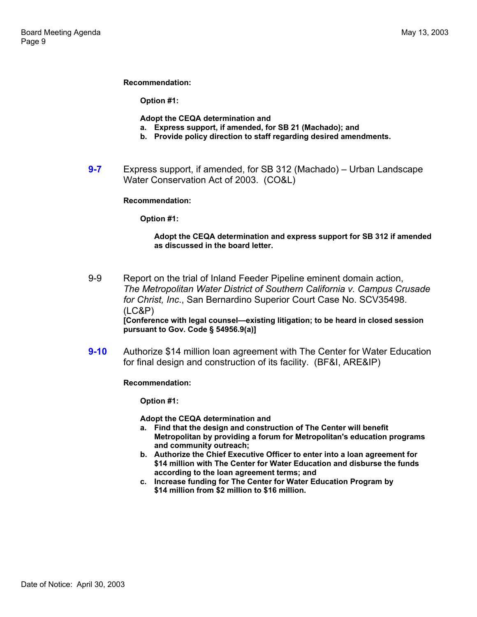### **Recommendation:**

**Option #1:** 

**Adopt the CEQA determination and** 

- **a. Express support, if amended, for SB 21 (Machado); and**
- **b. Provide policy direction to staff regarding desired amendments.**
- **9-7** Express support, if amended, for SB 312 (Machado) Urban Landscape Water Conservation Act of 2003. (CO&L)

### **Recommendation:**

**Option #1:** 

### **Adopt the CEQA determination and express support for SB 312 if amended as discussed in the board letter.**

- 9-9 Report on the trial of Inland Feeder Pipeline eminent domain action, *The Metropolitan Water District of Southern California v. Campus Crusade for Christ, Inc*., San Bernardino Superior Court Case No. SCV35498. (LC&P) **[Conference with legal counsel—existing litigation; to be heard in closed session pursuant to Gov. Code § 54956.9(a)]**
- **9-10** Authorize \$14 million loan agreement with The Center for Water Education for final design and construction of its facility. (BF&I, ARE&IP)

**Recommendation:** 

**Option #1:** 

- **a. Find that the design and construction of The Center will benefit Metropolitan by providing a forum for Metropolitan's education programs and community outreach;**
- **b. Authorize the Chief Executive Officer to enter into a loan agreement for \$14 million with The Center for Water Education and disburse the funds according to the loan agreement terms; and**
- **c. Increase funding for The Center for Water Education Program by \$14 million from \$2 million to \$16 million.**